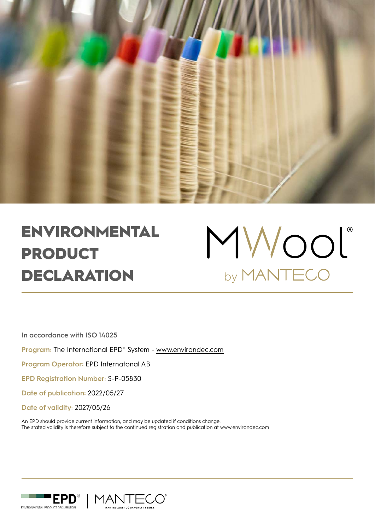

# ENVIRONMENTAL PRODUCT DECLARATION



**In accordance with ISO 14025**

**Program:** The International EPD® System - www.environdec.com

**Program Operator:** EPD Internatonal AB

**EPD Registration Number:** S-P-05830

**Date of publication:** 2022/05/27

**Date of validity:** 2027/05/26

An EPD should provide current information, and may be updated if conditions change. The stated validity is therefore subject to the continued registration and publication at www.environdec.com



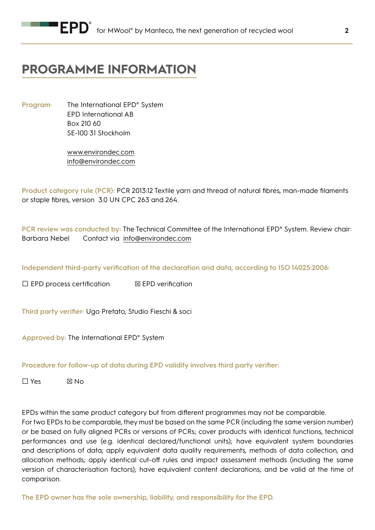## **PROGRAMME INFORMATION**

**Program:** The International EPD® System EPD International AB Box 210 60 SE-100 31 Stockholm

> www.environdec.com info@environdec.com

**Product category rule (PCR):** PCR 2013:12 Textile yarn and thread of natural fibres, man-made filaments or staple fibres, version 3.0 UN CPC 263 and 264.

**PCR review was conducted by:** The Technical Committee of the International EPD® System. Review chair: Barbara Nebel Contact via info@environdec.com

**Independent third-party verification of the declaration and data, according to ISO 14025:2006:** 

 $\Box$  EPD process certification  $\Box$  EPD verification

**Third party verifier:** Ugo Pretato, Studio Fieschi & soci

**Approved by:** The International EPD® System

### **Procedure for follow-up of data during EPD validity involves third party verifier:**

 $\Box$  Yes  $\boxtimes$  No

EPDs within the same product category but from different programmes may not be comparable.

For two EPDs to be comparable, they must be based on the same PCR (including the same version number) or be based on fully aligned PCRs or versions of PCRs; cover products with identical functions, technical performances and use (e.g. identical declared/functional units); have equivalent system boundaries and descriptions of data; apply equivalent data quality requirements, methods of data collection, and allocation methods; apply identical cut-off rules and impact assessment methods (including the same version of characterisation factors); have equivalent content declarations; and be valid at the time of comparison.

**The EPD owner has the sole ownership, liability, and responsibility for the EPD.**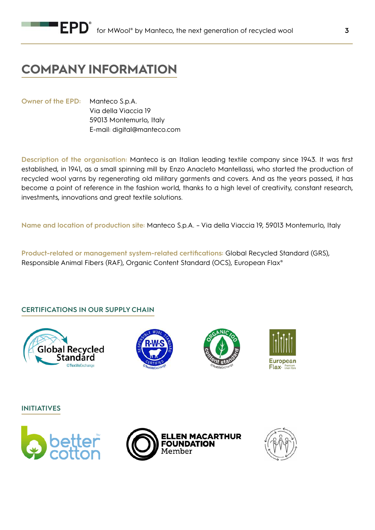## **COMPANY INFORMATION**

**Owner of the EPD:** Manteco S.p.A. Via della Viaccia 19 59013 Montemurlo, Italy E-mail: digital@manteco.com

**Description of the organisation:** Manteco is an Italian leading textile company since 1943. It was first established, in 1941, as a small spinning mill by Enzo Anacleto Mantellassi, who started the production of recycled wool yarns by regenerating old military garments and covers. And as the years passed, it has become a point of reference in the fashion world, thanks to a high level of creativity, constant research, investments, innovations and great textile solutions.

**Name and location of production site:** Manteco S.p.A. – Via della Viaccia 19, 59013 Montemurlo, Italy

**Product-related or management system-related certifications:** Global Recycled Standard (GRS), Responsible Animal Fibers (RAF), Organic Content Standard (OCS), European Flax®

### **CERTIFICATIONS IN OUR SUPPLY CHAIN**









**INITIATIVES** 





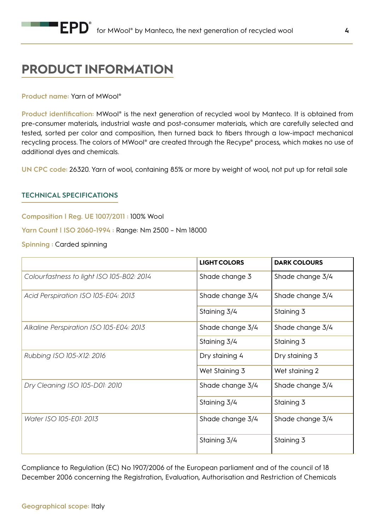## **PRODUCT INFORMATION**

### **Product name:** Yarn of MWool®

**Product identification:** MWool® is the next generation of recycled wool by Manteco. It is obtained from pre-consumer materials, industrial waste and post-consumer materials, which are carefully selected and tested, sorted per color and composition, then turned back to fibers through a low-impact mechanical recycling process. The colors of MWool® are created through the Recype® process, which makes no use of additional dyes and chemicals.

**UN CPC code:** 26320. Yarn of wool, containing 85% or more by weight of wool, not put up for retail sale

### **TECHNICAL SPECIFICATIONS**

**Composition | Reg. UE 1007/2011 :** 100% Wool

**Yarn Count | ISO 2060-1994 :** Range: Nm 2500 – Nm 18000

**Spinning :** Carded spinning

|                                           | <b>LIGHT COLORS</b> | <b>DARK COLOURS</b> |  |
|-------------------------------------------|---------------------|---------------------|--|
| Colourfastness to light ISO 105-B02: 2014 | Shade change 3      | Shade change 3/4    |  |
| Acid Perspiration ISO 105-E04: 2013       | Shade change 3/4    | Shade change 3/4    |  |
|                                           | Staining 3/4        | Staining 3          |  |
| Alkaline Perspiration ISO 105-E04: 2013   | Shade change 3/4    | Shade change 3/4    |  |
|                                           | Staining 3/4        | Staining 3          |  |
| Rubbing ISO 105-X12: 2016                 | Dry staining 4      | Dry staining 3      |  |
|                                           | Wet Staining 3      | Wet staining 2      |  |
| Dry Cleaning ISO 105-D01: 2010            | Shade change 3/4    | Shade change 3/4    |  |
|                                           | Staining 3/4        | Staining 3          |  |
| Water ISO 105-E01: 2013                   | Shade change 3/4    | Shade change 3/4    |  |
|                                           | Staining 3/4        | Staining 3          |  |

Compliance to Regulation (EC) No 1907/2006 of the European parliament and of the council of 18 December 2006 concerning the Registration, Evaluation, Authorisation and Restriction of Chemicals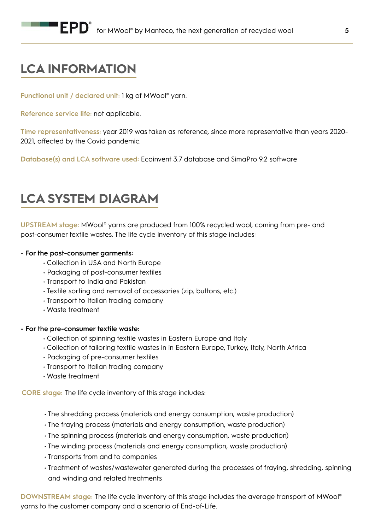## **LCA INFORMATION**

**Functional unit / declared unit:** 1 kg of MWool® yarn.

**Reference service life:** not applicable.

**Time representativeness:** year 2019 was taken as reference, since more representative than years 2020- 2021, affected by the Covid pandemic.

**Database(s) and LCA software used:** Ecoinvent 3.7 database and SimaPro 9.2 software

## **LCA SYSTEM DIAGRAM**

**UPSTREAM stage:** MWool® yarns are produced from 100% recycled wool, coming from pre- and post-consumer textile wastes. The life cycle inventory of this stage includes:

### - **For the post-consumer garments:**

- Collection in USA and North Europe
- Packaging of post-consumer textiles
- Transport to India and Pakistan
- Textile sorting and removal of accessories (zip, buttons, etc.)
- Transport to Italian trading company
- Waste treatment

### **- For the pre-consumer textile waste:**

- Collection of spinning textile wastes in Eastern Europe and Italy
- Collection of tailoring textile wastes in in Eastern Europe, Turkey, Italy, North Africa
- Packaging of pre-consumer textiles
- Transport to Italian trading company
- Waste treatment

**CORE stage:** The life cycle inventory of this stage includes:

- The shredding process (materials and energy consumption, waste production)
- The fraying process (materials and energy consumption, waste production)
- The spinning process (materials and energy consumption, waste production)
- The winding process (materials and energy consumption, waste production)
- Transports from and to companies
- Treatment of wastes/wastewater generated during the processes of fraying, shredding, spinning and winding and related treatments

**DOWNSTREAM stage:** The life cycle inventory of this stage includes the average transport of MWool® yarns to the customer company and a scenario of End-of-Life.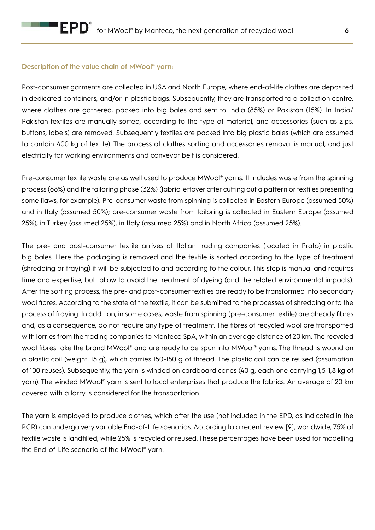### **Description of the value chain of MWool® yarn:**

Post-consumer garments are collected in USA and North Europe, where end-of-life clothes are deposited in dedicated containers, and/or in plastic bags. Subsequently, they are transported to a collection centre, where clothes are gathered, packed into big bales and sent to India (85%) or Pakistan (15%). In India/ Pakistan textiles are manually sorted, according to the type of material, and accessories (such as zips, buttons, labels) are removed. Subsequently textiles are packed into big plastic bales (which are assumed to contain 400 kg of textile). The process of clothes sorting and accessories removal is manual, and just electricity for working environments and conveyor belt is considered.

Pre-consumer textile waste are as well used to produce MWool® yarns. It includes waste from the spinning process (68%) and the tailoring phase (32%) (fabric leftover after cutting out a pattern or textiles presenting some flaws, for example). Pre-consumer waste from spinning is collected in Eastern Europe (assumed 50%) and in Italy (assumed 50%); pre-consumer waste from tailoring is collected in Eastern Europe (assumed 25%), in Turkey (assumed 25%), in Italy (assumed 25%) and in North Africa (assumed 25%).

The pre- and post-consumer textile arrives at Italian trading companies (located in Prato) in plastic big bales. Here the packaging is removed and the textile is sorted according to the type of treatment (shredding or fraying) it will be subjected to and according to the colour. This step is manual and requires time and expertise, but allow to avoid the treatment of dyeing (and the related environmental impacts). After the sorting process, the pre- and post-consumer textiles are ready to be transformed into secondary wool fibres. According to the state of the textile, it can be submitted to the processes of shredding or to the process of fraying. In addition, in some cases, waste from spinning (pre-consumer textile) are already fibres and, as a consequence, do not require any type of treatment. The fibres of recycled wool are transported with lorries from the trading companies to Manteco SpA, within an average distance of 20 km. The recycled wool fibres take the brand MWool® and are ready to be spun into MWool® yarns. The thread is wound on a plastic coil (weight: 15 g), which carries 150-180 g of thread. The plastic coil can be reused (assumption of 100 reuses). Subsequently, the yarn is winded on cardboard cones (40 g, each one carrying 1,5-1,8 kg of yarn). The winded MWool® yarn is sent to local enterprises that produce the fabrics. An average of 20 km covered with a lorry is considered for the transportation.

The yarn is employed to produce clothes, which after the use (not included in the EPD, as indicated in the PCR) can undergo very variable End-of-Life scenarios. According to a recent review [9], worldwide, 75% of textile waste is landfilled, while 25% is recycled or reused. These percentages have been used for modelling the End-of-Life scenario of the MWool® yarn.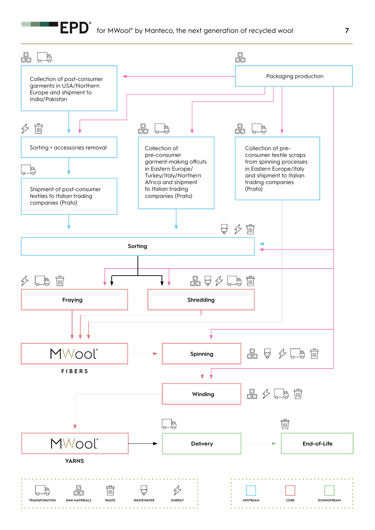## $\textbf{F}\textbf{PD}^\textnormal{\texttt{e}}\;$  for MWool® by Manteco, the next generation of recycled wool **7**

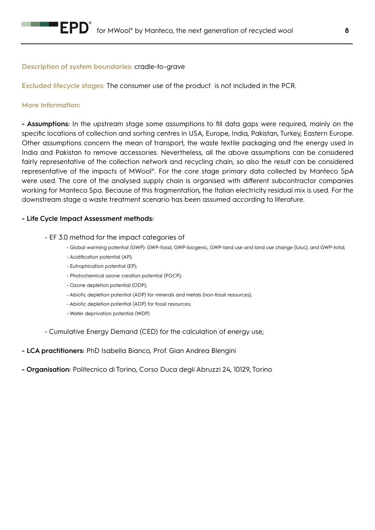

### **Description of system boundaries:** cradle-to-grave

**Excluded lifecycle stages:** The consumer use of the product is not included in the PCR.

### **More information:**

**- Assumptions:** In the upstream stage some assumptions to fill data gaps were required, mainly on the specific locations of collection and sorting centres in USA, Europe, India, Pakistan, Turkey, Eastern Europe. Other assumptions concern the mean of transport, the waste textile packaging and the energy used in India and Pakistan to remove accessories. Nevertheless, all the above assumptions can be considered fairly representative of the collection network and recycling chain, so also the result can be considered representative of the impacts of MWool®. For the core stage primary data collected by Manteco SpA were used. The core of the analysed supply chain is organised with different subcontractor companies working for Manteco Spa. Because of this fragmentation, the Italian electricity residual mix is used. For the downstream stage a waste treatment scenario has been assumed according to literature.

### **- Life Cycle Impact Assessment methods:**

- EF 3.0 method for the impact categories of
	- Global warming potential (GWP): GWP-fossil, GWP-biogenic, GWP-land use and land use change (luluc), and GWP-total;
	- Acidification potential (AP);
	- Eutrophication potential (EP);
	- Photochemical ozone creation potential (POCP);
	- Ozone depletion potential (ODP);
	- Abiotic depletion potential (ADP) for minerals and metals (non-fossil resources);
	- Abiotic depletion potential (ADP) for fossil resources;
	- Water deprivation potential (WDP)

- Cumulative Energy Demand (CED) for the calculation of energy use;

- **LCA practitioners:** PhD Isabella Bianco, Prof. Gian Andrea Blengini
- **Organisation:** Politecnico di Torino, Corso Duca degli Abruzzi 24, 10129, Torino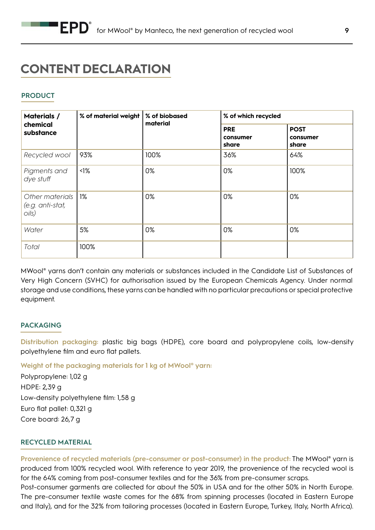## **CONTENT DECLARATION**

### **PRODUCT**

| <b>Materials /</b><br>chemical<br>substance  | % of material weight | % of biobased | % of which recycled             |                                  |  |
|----------------------------------------------|----------------------|---------------|---------------------------------|----------------------------------|--|
|                                              |                      | material      | <b>PRE</b><br>consumer<br>share | <b>POST</b><br>consumer<br>share |  |
| Recycled wool                                | 93%                  | 100%          | 36%                             | 64%                              |  |
| Pigments and<br>dye stuff                    | $\triangleleft$      | 0%            | 0%                              | 100%                             |  |
| Other materials<br>(e.g. anti-stat,<br>oils) | 1%                   | 0%            | 0%                              | 0%                               |  |
| Water                                        | 5%                   | 0%            | 0%                              | 0%                               |  |
| Total                                        | 100%                 |               |                                 |                                  |  |

MWool® yarns don't contain any materials or substances included in the Candidate List of Substances of Very High Concern (SVHC) for authorisation issued by the European Chemicals Agency. Under normal storage and use conditions, these yarns can be handled with no particular precautions or special protective equipment.

### **PACKAGING**

**Distribution packaging:** plastic big bags (HDPE), core board and polypropylene coils, low-density polyethylene film and euro flat pallets.

**Weight of the packaging materials for 1 kg of MWool® yarn:**

Polypropylene: 1,02 g HDPE: 2,39 g Low-density polyethylene film: 1,58 g Euro flat pallet: 0,321 g Core board: 26,7 g

### **RECYCLED MATERIAL**

**Provenience of recycled materials (pre-consumer or post-consumer) in the product:** The MWool® yarn is produced from 100% recycled wool. With reference to year 2019, the provenience of the recycled wool is for the 64% coming from post-consumer textiles and for the 36% from pre-consumer scraps. Post-consumer garments are collected for about the 50% in USA and for the other 50% in North Europe.

The pre-consumer textile waste comes for the 68% from spinning processes (located in Eastern Europe and Italy), and for the 32% from tailoring processes (located in Eastern Europe, Turkey, Italy, North Africa).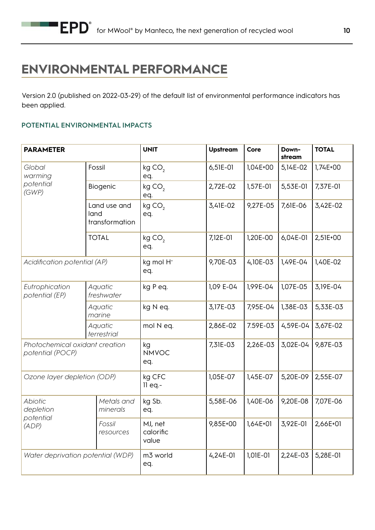## **ENVIRONMENTAL PERFORMANCE**

Version 2.0 (published on 2022-03-29) of the default list of environmental performance indicators has been applied.

### **POTENTIAL ENVIRONMENTAL IMPACTS**

| <b>PARAMETER</b>                                   |                                        | <b>UNIT</b>                   | <b>Upstream</b> | Core     | Down-<br>stream | <b>TOTAL</b> |
|----------------------------------------------------|----------------------------------------|-------------------------------|-----------------|----------|-----------------|--------------|
| Global<br>warming<br>potential<br>(GWP)            | Fossil                                 | kgCO <sub>2</sub><br>eq.      | 6,51E-01        | 1,04E+00 | 5,14E-02        | $1,74E+00$   |
|                                                    | Biogenic                               | kg CO <sub>2</sub><br>eq.     | 2,72E-02        | 1,57E-01 | 5,53E-01        | 7,37E-01     |
|                                                    | Land use and<br>land<br>transformation | kgCO <sub>2</sub><br>eq.      | 3,41E-02        | 9,27E-05 | 7,61E-06        | 3,42E-02     |
|                                                    | <b>TOTAL</b>                           | kgCO <sub>2</sub><br>eq.      | 7,12E-01        | 1,20E-00 | 6,04E-01        | 2,51E+00     |
| Acidification potential (AP)                       |                                        | kg mol H <sup>+</sup><br>eq.  | 9,70E-03        | 4,10E-03 | 1,49E-04        | 1,40E-02     |
| Eutrophication<br>potential (EP)                   | Aquatic<br>freshwater                  | kg P eq.                      | 1,09 E-04       | 1,99E-04 | 1,07E-05        | 3,19E-04     |
|                                                    | Aquatic<br>marine                      | kg N eq.                      | 3,17E-03        | 7,95E-04 | 1,38E-03        | 5,33E-03     |
|                                                    | Aquatic<br>terrestrial                 | mol N eq.                     | 2,86E-02        | 7.59E-03 | 4,59E-04        | 3,67E-02     |
| Photochemical oxidant creation<br>potential (POCP) |                                        | kg<br><b>NMVOC</b><br>eq.     | 7,31E-03        | 2,26E-03 | 3,02E-04        | 9,87E-03     |
| Ozone layer depletion (ODP)                        |                                        | kg CFC<br>$11$ eq.-           | 1,05E-07        | 1,45E-07 | 5,20E-09        | 2,55E-07     |
| <b>Abiotic</b><br>depletion<br>potential<br>(ADP)  | Metals and<br>minerals                 | kg Sb.<br>eq.                 | 5,58E-06        | 1,40E-06 | 9,20E-08        | 7,07E-06     |
|                                                    | Fossil<br>resources                    | MJ, net<br>calorific<br>value | 9,85E+00        | 1,64E+01 | 3,92E-01        | 2,66E+01     |
| Water deprivation potential (WDP)                  |                                        | m3 world<br>eq.               | $4,24E-01$      | 1,01E-01 | 2,24E-03        | 5,28E-01     |